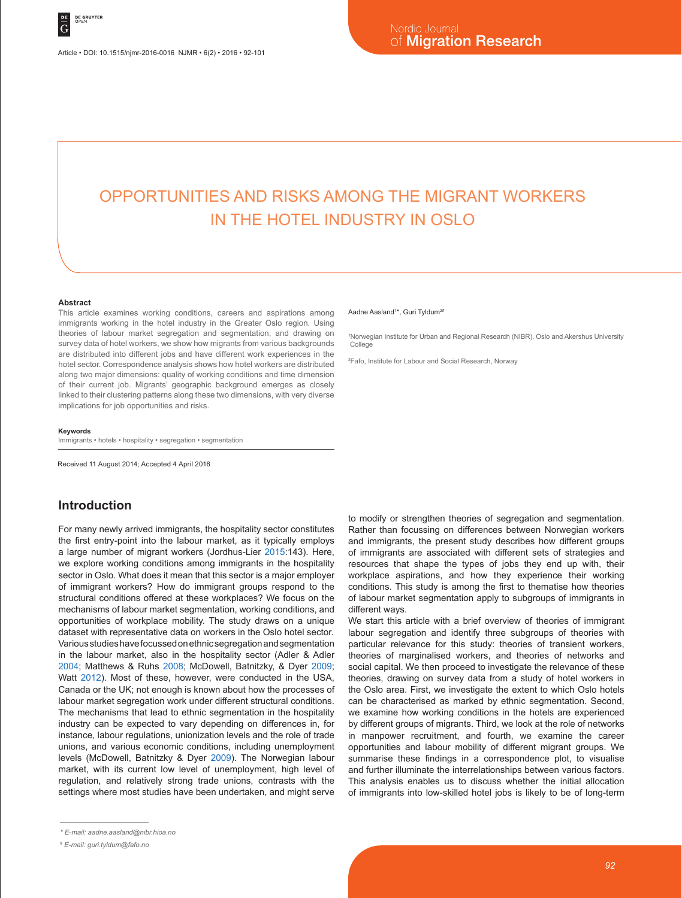Article • DOI: 10.1515/njmr-2016-0016 NJMR • 6(2) • 2016 • 92-101

# OPPORTUNITIES AND RISKS AMONG THE MIGRANT WORKERS IN THE HOTEL INDUSTRY IN OSLO

#### **Abstract**

This article examines working conditions, careers and aspirations among immigrants working in the hotel industry in the Greater Oslo region. Using theories of labour market segregation and segmentation, and drawing on survey data of hotel workers, we show how migrants from various backgrounds are distributed into different jobs and have different work experiences in the hotel sector. Correspondence analysis shows how hotel workers are distributed along two major dimensions: quality of working conditions and time dimension of their current job. Migrants' geographic background emerges as closely linked to their clustering patterns along these two dimensions, with very diverse implications for job opportunities and risks.

#### **Keywords**

Immigrants • hotels • hospitality • segregation • segmentation

Received 11 August 2014; Accepted 4 April 2016

# **Introduction**

For many newly arrived immigrants, the hospitality sector constitutes the first entry-point into the labour market, as it typically employs a large number of migrant workers (Jordhus-Lier 2015:143). Here, we explore working conditions among immigrants in the hospitality sector in Oslo. What does it mean that this sector is a major employer of immigrant workers? How do immigrant groups respond to the structural conditions offered at these workplaces? We focus on the mechanisms of labour market segmentation, working conditions, and opportunities of workplace mobility. The study draws on a unique dataset with representative data on workers in the Oslo hotel sector. Various studies have focussed on ethnic segregation and segmentation in the labour market, also in the hospitality sector (Adler & Adler 2004; Matthews & Ruhs 2008; McDowell, Batnitzky, & Dyer 2009; Watt 2012). Most of these, however, were conducted in the USA, Canada or the UK; not enough is known about how the processes of labour market segregation work under different structural conditions. The mechanisms that lead to ethnic segmentation in the hospitality industry can be expected to vary depending on differences in, for instance, labour regulations, unionization levels and the role of trade unions, and various economic conditions, including unemployment levels (McDowell, Batnitzky & Dyer 2009). The Norwegian labour market, with its current low level of unemployment, high level of regulation, and relatively strong trade unions, contrasts with the settings where most studies have been undertaken, and might serve

#### Aadne Aasland<sup>1\*</sup>, Guri Tyldum<sup>2#</sup>

1 Norwegian Institute for Urban and Regional Research (NIBR), Oslo and Akershus University College

2 Fafo, Institute for Labour and Social Research, Norway

to modify or strengthen theories of segregation and segmentation. Rather than focussing on differences between Norwegian workers and immigrants, the present study describes how different groups of immigrants are associated with different sets of strategies and resources that shape the types of jobs they end up with, their workplace aspirations, and how they experience their working conditions. This study is among the first to thematise how theories of labour market segmentation apply to subgroups of immigrants in different ways.

We start this article with a brief overview of theories of immigrant labour segregation and identify three subgroups of theories with particular relevance for this study: theories of transient workers, theories of marginalised workers, and theories of networks and social capital. We then proceed to investigate the relevance of these theories, drawing on survey data from a study of hotel workers in the Oslo area. First, we investigate the extent to which Oslo hotels can be characterised as marked by ethnic segmentation. Second, we examine how working conditions in the hotels are experienced by different groups of migrants. Third, we look at the role of networks in manpower recruitment, and fourth, we examine the career opportunities and labour mobility of different migrant groups. We summarise these findings in a correspondence plot, to visualise and further illuminate the interrelationships between various factors. This analysis enables us to discuss whether the initial allocation of immigrants into low-skilled hotel jobs is likely to be of long-term

*<sup>\*</sup> E-mail: aadne.aasland@nibr.hioa.no*

*<sup>#</sup> E-mail: guri.tyldum@fafo.no*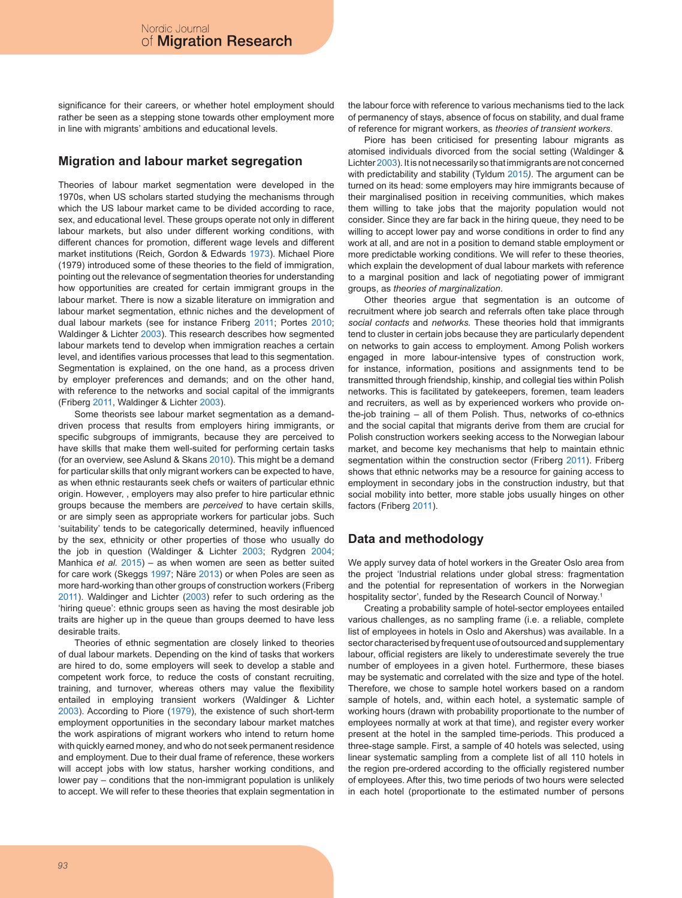significance for their careers, or whether hotel employment should rather be seen as a stepping stone towards other employment more in line with migrants' ambitions and educational levels.

## **Migration and labour market segregation**

Theories of labour market segmentation were developed in the 1970s, when US scholars started studying the mechanisms through which the US labour market came to be divided according to race, sex, and educational level. These groups operate not only in different labour markets, but also under different working conditions, with different chances for promotion, different wage levels and different market institutions (Reich, Gordon & Edwards 1973). Michael Piore (1979) introduced some of these theories to the field of immigration, pointing out the relevance of segmentation theories for understanding how opportunities are created for certain immigrant groups in the labour market. There is now a sizable literature on immigration and labour market segmentation, ethnic niches and the development of dual labour markets (see for instance Friberg 2011; Portes 2010; Waldinger & Lichter 2003). This research describes how segmented labour markets tend to develop when immigration reaches a certain level, and identifies various processes that lead to this segmentation. Segmentation is explained, on the one hand, as a process driven by employer preferences and demands; and on the other hand, with reference to the networks and social capital of the immigrants (Friberg 2011, Waldinger & Lichter 2003).

Some theorists see labour market segmentation as a demanddriven process that results from employers hiring immigrants, or specific subgroups of immigrants, because they are perceived to have skills that make them well-suited for performing certain tasks (for an overview, see Aslund & Skans 2010). This might be a demand for particular skills that only migrant workers can be expected to have, as when ethnic restaurants seek chefs or waiters of particular ethnic origin. However, , employers may also prefer to hire particular ethnic groups because the members are *perceived* to have certain skills, or are simply seen as appropriate workers for particular jobs. Such 'suitability' tends to be categorically determined, heavily influenced by the sex, ethnicity or other properties of those who usually do the job in question (Waldinger & Lichter 2003; Rydgren 2004; Manhica *et al.* 2015) – as when women are seen as better suited for care work (Skeggs 1997; Näre 2013) or when Poles are seen as more hard-working than other groups of construction workers (Friberg 2011). Waldinger and Lichter (2003) refer to such ordering as the 'hiring queue': ethnic groups seen as having the most desirable job traits are higher up in the queue than groups deemed to have less desirable traits.

Theories of ethnic segmentation are closely linked to theories of dual labour markets. Depending on the kind of tasks that workers are hired to do, some employers will seek to develop a stable and competent work force, to reduce the costs of constant recruiting, training, and turnover, whereas others may value the flexibility entailed in employing transient workers (Waldinger & Lichter 2003). According to Piore (1979), the existence of such short-term employment opportunities in the secondary labour market matches the work aspirations of migrant workers who intend to return home with quickly earned money, and who do not seek permanent residence and employment. Due to their dual frame of reference, these workers will accept jobs with low status, harsher working conditions, and lower pay – conditions that the non-immigrant population is unlikely to accept. We will refer to these theories that explain segmentation in the labour force with reference to various mechanisms tied to the lack of permanency of stays, absence of focus on stability, and dual frame of reference for migrant workers, as *theories of transient workers*.

Piore has been criticised for presenting labour migrants as atomised individuals divorced from the social setting (Waldinger & Lichter 2003). It is not necessarily so that immigrants are not concerned with predictability and stability (Tyldum 2015*)*. The argument can be turned on its head: some employers may hire immigrants because of their marginalised position in receiving communities, which makes them willing to take jobs that the majority population would not consider. Since they are far back in the hiring queue, they need to be willing to accept lower pay and worse conditions in order to find any work at all, and are not in a position to demand stable employment or more predictable working conditions. We will refer to these theories, which explain the development of dual labour markets with reference to a marginal position and lack of negotiating power of immigrant groups, as *theories of marginalization*.

Other theories argue that segmentation is an outcome of recruitment where job search and referrals often take place through *social contacts* and *networks.* These theories hold that immigrants tend to cluster in certain jobs because they are particularly dependent on networks to gain access to employment. Among Polish workers engaged in more labour-intensive types of construction work, for instance, information, positions and assignments tend to be transmitted through friendship, kinship, and collegial ties within Polish networks. This is facilitated by gatekeepers, foremen, team leaders and recruiters, as well as by experienced workers who provide onthe-job training – all of them Polish. Thus, networks of co-ethnics and the social capital that migrants derive from them are crucial for Polish construction workers seeking access to the Norwegian labour market, and become key mechanisms that help to maintain ethnic segmentation within the construction sector (Friberg 2011). Friberg shows that ethnic networks may be a resource for gaining access to employment in secondary jobs in the construction industry, but that social mobility into better, more stable jobs usually hinges on other factors (Friberg 2011).

# **Data and methodology**

We apply survey data of hotel workers in the Greater Oslo area from the project 'Industrial relations under global stress: fragmentation and the potential for representation of workers in the Norwegian hospitality sector', funded by the Research Council of Norway.<sup>1</sup>

Creating a probability sample of hotel-sector employees entailed various challenges, as no sampling frame (i.e. a reliable, complete list of employees in hotels in Oslo and Akershus) was available. In a sector characterised by frequent use of outsourced and supplementary labour, official registers are likely to underestimate severely the true number of employees in a given hotel. Furthermore, these biases may be systematic and correlated with the size and type of the hotel. Therefore, we chose to sample hotel workers based on a random sample of hotels, and, within each hotel, a systematic sample of working hours (drawn with probability proportionate to the number of employees normally at work at that time), and register every worker present at the hotel in the sampled time-periods. This produced a three-stage sample. First, a sample of 40 hotels was selected, using linear systematic sampling from a complete list of all 110 hotels in the region pre-ordered according to the officially registered number of employees. After this, two time periods of two hours were selected in each hotel (proportionate to the estimated number of persons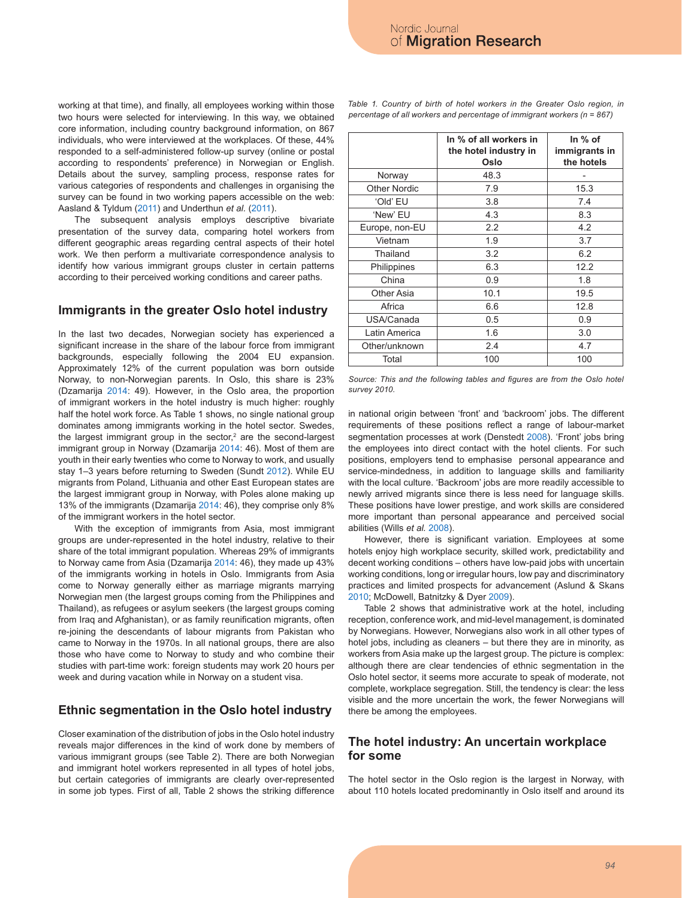working at that time), and finally, all employees working within those two hours were selected for interviewing. In this way, we obtained core information, including country background information, on 867 individuals, who were interviewed at the workplaces. Of these, 44% responded to a self-administered follow-up survey (online or postal according to respondents' preference) in Norwegian or English. Details about the survey, sampling process, response rates for various categories of respondents and challenges in organising the survey can be found in two working papers accessible on the web: Aasland & Tyldum (2011) and Underthun *et al.* (2011).

The subsequent analysis employs descriptive bivariate presentation of the survey data, comparing hotel workers from different geographic areas regarding central aspects of their hotel work. We then perform a multivariate correspondence analysis to identify how various immigrant groups cluster in certain patterns according to their perceived working conditions and career paths.

#### **Immigrants in the greater Oslo hotel industry**

In the last two decades, Norwegian society has experienced a significant increase in the share of the labour force from immigrant backgrounds, especially following the 2004 EU expansion. Approximately 12% of the current population was born outside Norway, to non-Norwegian parents. In Oslo, this share is 23% (Dzamarija 2014: 49). However, in the Oslo area, the proportion of immigrant workers in the hotel industry is much higher: roughly half the hotel work force. As Table 1 shows, no single national group dominates among immigrants working in the hotel sector. Swedes, the largest immigrant group in the sector,<sup>2</sup> are the second-largest immigrant group in Norway (Dzamarija 2014: 46). Most of them are youth in their early twenties who come to Norway to work, and usually stay 1–3 years before returning to Sweden (Sundt 2012). While EU migrants from Poland, Lithuania and other East European states are the largest immigrant group in Norway, with Poles alone making up 13% of the immigrants (Dzamarija 2014: 46), they comprise only 8% of the immigrant workers in the hotel sector.

With the exception of immigrants from Asia, most immigrant groups are under-represented in the hotel industry, relative to their share of the total immigrant population. Whereas 29% of immigrants to Norway came from Asia (Dzamarija 2014: 46), they made up 43% of the immigrants working in hotels in Oslo. Immigrants from Asia come to Norway generally either as marriage migrants marrying Norwegian men (the largest groups coming from the Philippines and Thailand), as refugees or asylum seekers (the largest groups coming from Iraq and Afghanistan), or as family reunification migrants, often re-joining the descendants of labour migrants from Pakistan who came to Norway in the 1970s. In all national groups, there are also those who have come to Norway to study and who combine their studies with part-time work: foreign students may work 20 hours per week and during vacation while in Norway on a student visa.

### **Ethnic segmentation in the Oslo hotel industry**

Closer examination of the distribution of jobs in the Oslo hotel industry reveals major differences in the kind of work done by members of various immigrant groups (see Table 2). There are both Norwegian and immigrant hotel workers represented in all types of hotel jobs, but certain categories of immigrants are clearly over-represented in some job types. First of all, Table 2 shows the striking difference

|                     | In % of all workers in<br>the hotel industry in<br>Oslo | In $%$ of<br>immigrants in<br>the hotels |
|---------------------|---------------------------------------------------------|------------------------------------------|
| Norway              | 48.3                                                    |                                          |
| <b>Other Nordic</b> | 7.9                                                     | 15.3                                     |
| 'Old' EU            | 3.8                                                     | 7.4                                      |
| 'New' EU            | 4.3                                                     | 8.3                                      |
| Europe, non-EU      | 2.2                                                     | 4.2                                      |
| Vietnam             | 1.9                                                     | 3.7                                      |
| Thailand            | 3.2                                                     | 6.2                                      |
| Philippines         | 6.3                                                     | 12.2                                     |
| China               | 0.9                                                     | 1.8                                      |
| <b>Other Asia</b>   | 10.1                                                    | 19.5                                     |
| Africa              | 6.6                                                     | 12.8                                     |
| USA/Canada          | 0.5                                                     | 0.9                                      |
| Latin America       | 1.6                                                     | 3.0                                      |
| Other/unknown       | 2.4                                                     | 4.7                                      |
| Total               | 100                                                     | 100                                      |

Table 1. Country of birth of hotel workers in the Greater Oslo region, in *percentage of all workers and percentage of immigrant workers (n = 867)*

Source: This and the following tables and figures are from the Oslo hotel *survey 2010.*

in national origin between 'front' and 'backroom' jobs. The different requirements of these positions reflect a range of labour-market segmentation processes at work (Denstedt 2008). 'Front' jobs bring the employees into direct contact with the hotel clients. For such positions, employers tend to emphasise personal appearance and service-mindedness, in addition to language skills and familiarity with the local culture. 'Backroom' jobs are more readily accessible to newly arrived migrants since there is less need for language skills. These positions have lower prestige, and work skills are considered more important than personal appearance and perceived social abilities (Wills *et al.* 2008).

However, there is significant variation. Employees at some hotels enjoy high workplace security, skilled work, predictability and decent working conditions – others have low-paid jobs with uncertain working conditions, long or irregular hours, low pay and discriminatory practices and limited prospects for advancement (Aslund & Skans 2010; McDowell, Batnitzky & Dyer 2009).

Table 2 shows that administrative work at the hotel, including reception, conference work, and mid-level management, is dominated by Norwegians. However, Norwegians also work in all other types of hotel jobs, including as cleaners – but there they are in minority, as workers from Asia make up the largest group. The picture is complex: although there are clear tendencies of ethnic segmentation in the Oslo hotel sector, it seems more accurate to speak of moderate, not complete, workplace segregation. Still, the tendency is clear: the less visible and the more uncertain the work, the fewer Norwegians will there be among the employees.

### **The hotel industry: An uncertain workplace for some**

The hotel sector in the Oslo region is the largest in Norway, with about 110 hotels located predominantly in Oslo itself and around its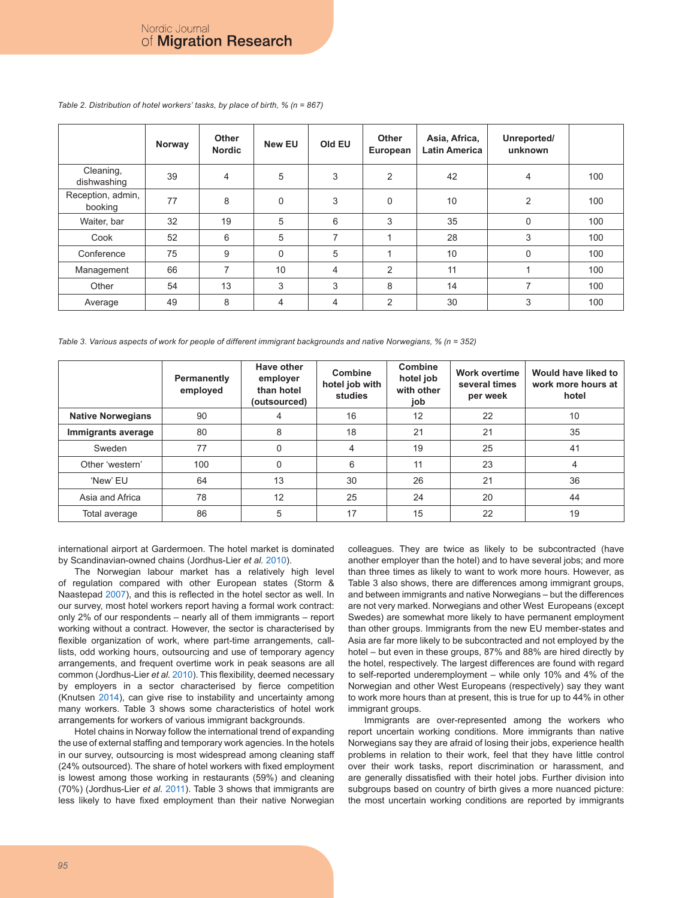|                              | Norway | <b>Other</b><br><b>Nordic</b> | <b>New EU</b>  | Old EU         | Other<br>European | Asia, Africa,<br>Latin America | Unreported/<br>unknown |     |
|------------------------------|--------|-------------------------------|----------------|----------------|-------------------|--------------------------------|------------------------|-----|
| Cleaning,<br>dishwashing     | 39     | 4                             | 5              | 3              | $\overline{2}$    | 42                             | $\overline{4}$         | 100 |
| Reception, admin,<br>booking | 77     | 8                             | $\mathbf 0$    | 3              | $\mathbf 0$       | 10                             | $\overline{2}$         | 100 |
| Waiter, bar                  | 32     | 19                            | 5              | 6              | 3                 | 35                             | $\mathbf 0$            | 100 |
| Cook                         | 52     | 6                             | 5              | $\overline{7}$ |                   | 28                             | 3                      | 100 |
| Conference                   | 75     | 9                             | $\Omega$       | 5              |                   | 10                             | $\mathbf 0$            | 100 |
| Management                   | 66     | 7                             | 10             | $\overline{4}$ | 2                 | 11                             | 1                      | 100 |
| Other                        | 54     | 13                            | 3              | 3              | 8                 | 14                             | 7                      | 100 |
| Average                      | 49     | 8                             | $\overline{4}$ | 4              | 2                 | 30                             | 3                      | 100 |

*Table 2. Distribution of hotel workers' tasks, by place of birth, % (n = 867)*

*Table 3. Various aspects of work for people of different immigrant backgrounds and native Norwegians, % (n = 352)*

|                          | Permanently<br>employed | Have other<br>employer<br>than hotel<br>(outsourced) | Combine<br>hotel job with<br>studies | Combine<br>hotel job<br>with other<br>job | <b>Work overtime</b><br>several times<br>per week | Would have liked to<br>work more hours at<br>hotel |
|--------------------------|-------------------------|------------------------------------------------------|--------------------------------------|-------------------------------------------|---------------------------------------------------|----------------------------------------------------|
| <b>Native Norwegians</b> | 90                      |                                                      | 16                                   | 12                                        | 22                                                | 10                                                 |
| Immigrants average       | 80                      | 8                                                    | 18                                   | 21                                        | 21                                                | 35                                                 |
| Sweden                   | 77                      | 0                                                    | $\overline{4}$                       | 19                                        | 25                                                | 41                                                 |
| Other 'western'          | 100                     | 0                                                    | 6                                    | 11                                        | 23                                                | 4                                                  |
| 'New' EU                 | 64                      | 13                                                   | 30                                   | 26                                        | 21                                                | 36                                                 |
| Asia and Africa          | 78                      | 12                                                   | 25                                   | 24                                        | 20                                                | 44                                                 |
| Total average            | 86                      | 5                                                    | 17                                   | 15                                        | 22                                                | 19                                                 |

international airport at Gardermoen. The hotel market is dominated by Scandinavian-owned chains (Jordhus-Lier *et al.* 2010).

The Norwegian labour market has a relatively high level of regulation compared with other European states (Storm & Naastepad 2007), and this is reflected in the hotel sector as well. In our survey, most hotel workers report having a formal work contract: only 2% of our respondents – nearly all of them immigrants – report working without a contract. However, the sector is characterised by flexible organization of work, where part-time arrangements, calllists, odd working hours, outsourcing and use of temporary agency arrangements, and frequent overtime work in peak seasons are all common (Jordhus-Lier *et al.* 2010). This flexibility, deemed necessary by employers in a sector characterised by fierce competition (Knutsen 2014), can give rise to instability and uncertainty among many workers. Table 3 shows some characteristics of hotel work arrangements for workers of various immigrant backgrounds.

Hotel chains in Norway follow the international trend of expanding the use of external staffing and temporary work agencies. In the hotels in our survey, outsourcing is most widespread among cleaning staff (24% outsourced). The share of hotel workers with fixed employment is lowest among those working in restaurants (59%) and cleaning (70%) (Jordhus-Lier *et al.* 2011). Table 3 shows that immigrants are less likely to have fixed employment than their native Norwegian colleagues. They are twice as likely to be subcontracted (have another employer than the hotel) and to have several jobs; and more than three times as likely to want to work more hours. However, as Table 3 also shows, there are differences among immigrant groups, and between immigrants and native Norwegians – but the differences are not very marked. Norwegians and other West Europeans (except Swedes) are somewhat more likely to have permanent employment than other groups. Immigrants from the new EU member-states and Asia are far more likely to be subcontracted and not employed by the hotel – but even in these groups, 87% and 88% are hired directly by the hotel, respectively. The largest differences are found with regard to self-reported underemployment – while only 10% and 4% of the Norwegian and other West Europeans (respectively) say they want to work more hours than at present, this is true for up to 44% in other immigrant groups.

Immigrants are over-represented among the workers who report uncertain working conditions. More immigrants than native Norwegians say they are afraid of losing their jobs, experience health problems in relation to their work, feel that they have little control over their work tasks, report discrimination or harassment, and are generally dissatisfied with their hotel jobs. Further division into subgroups based on country of birth gives a more nuanced picture: the most uncertain working conditions are reported by immigrants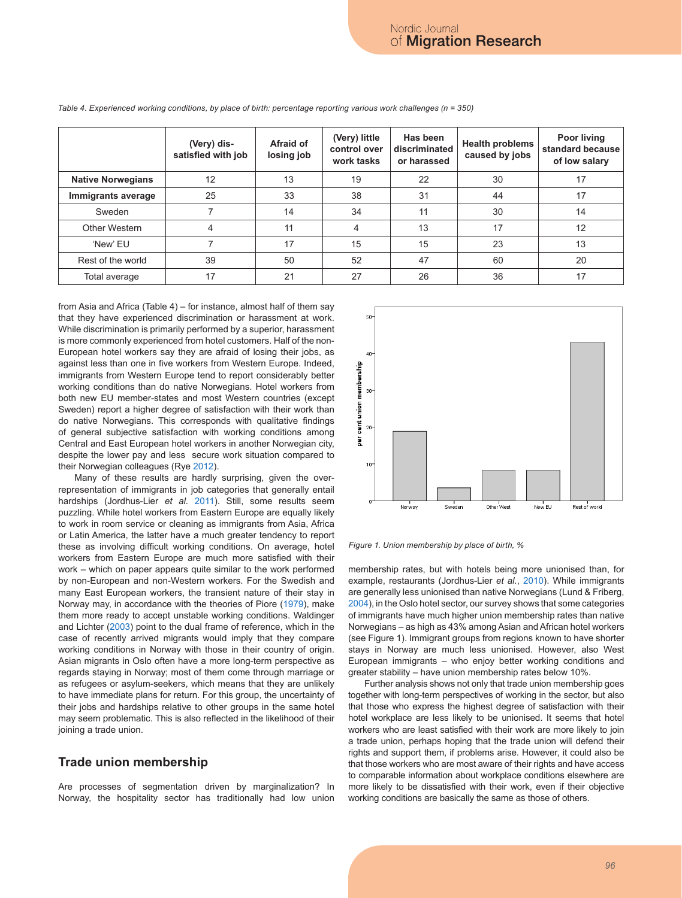|                          | (Very) dis-<br>satisfied with job | Afraid of<br>losing job | (Very) little<br>control over<br>work tasks | Has been<br>discriminated<br>or harassed | <b>Health problems</b><br>caused by jobs | Poor living<br>standard because<br>of low salary |
|--------------------------|-----------------------------------|-------------------------|---------------------------------------------|------------------------------------------|------------------------------------------|--------------------------------------------------|
| <b>Native Norwegians</b> | 12                                | 13                      | 19                                          | 22                                       | 30                                       | 17                                               |
| Immigrants average       | 25                                | 33                      | 38                                          | 31                                       | 44                                       | 17                                               |
| Sweden                   |                                   | 14                      | 34                                          | 11                                       | 30                                       | 14                                               |
| Other Western            | 4                                 | 11                      | 4                                           | 13                                       | 17                                       | 12                                               |
| 'New' EU                 |                                   | 17                      | 15                                          | 15                                       | 23                                       | 13                                               |
| Rest of the world        | 39                                | 50                      | 52                                          | 47                                       | 60                                       | 20                                               |
| Total average            | 17                                | 21                      | 27                                          | 26                                       | 36                                       | 17                                               |

*Table 4. Experienced working conditions, by place of birth: percentage reporting various work challenges (n = 350)*

from Asia and Africa (Table 4) – for instance, almost half of them say that they have experienced discrimination or harassment at work. While discrimination is primarily performed by a superior, harassment is more commonly experienced from hotel customers. Half of the non-European hotel workers say they are afraid of losing their jobs, as against less than one in five workers from Western Europe. Indeed, immigrants from Western Europe tend to report considerably better working conditions than do native Norwegians. Hotel workers from both new EU member-states and most Western countries (except Sweden) report a higher degree of satisfaction with their work than do native Norwegians. This corresponds with qualitative findings of general subjective satisfaction with working conditions among Central and East European hotel workers in another Norwegian city, despite the lower pay and less secure work situation compared to their Norwegian colleagues (Rye 2012).

Many of these results are hardly surprising, given the overrepresentation of immigrants in job categories that generally entail hardships (Jordhus-Lier *et al.* 2011). Still, some results seem puzzling. While hotel workers from Eastern Europe are equally likely to work in room service or cleaning as immigrants from Asia, Africa or Latin America, the latter have a much greater tendency to report these as involving difficult working conditions. On average, hotel workers from Eastern Europe are much more satisfied with their work – which on paper appears quite similar to the work performed by non-European and non-Western workers. For the Swedish and many East European workers, the transient nature of their stay in Norway may, in accordance with the theories of Piore (1979), make them more ready to accept unstable working conditions. Waldinger and Lichter (2003) point to the dual frame of reference, which in the case of recently arrived migrants would imply that they compare working conditions in Norway with those in their country of origin. Asian migrants in Oslo often have a more long-term perspective as regards staying in Norway; most of them come through marriage or as refugees or asylum-seekers, which means that they are unlikely to have immediate plans for return. For this group, the uncertainty of their jobs and hardships relative to other groups in the same hotel may seem problematic. This is also reflected in the likelihood of their joining a trade union.

### **Trade union membership**

Are processes of segmentation driven by marginalization? In Norway, the hospitality sector has traditionally had low union



*Figure 1. Union membership by place of birth, %*

membership rates, but with hotels being more unionised than, for example, restaurants (Jordhus-Lier *et al.*, 2010). While immigrants are generally less unionised than native Norwegians (Lund & Friberg, 2004), in the Oslo hotel sector, our survey shows that some categories of immigrants have much higher union membership rates than native Norwegians – as high as 43% among Asian and African hotel workers (see Figure 1). Immigrant groups from regions known to have shorter stays in Norway are much less unionised. However, also West European immigrants – who enjoy better working conditions and greater stability – have union membership rates below 10%.

Further analysis shows not only that trade union membership goes together with long-term perspectives of working in the sector, but also that those who express the highest degree of satisfaction with their hotel workplace are less likely to be unionised. It seems that hotel workers who are least satisfied with their work are more likely to join a trade union, perhaps hoping that the trade union will defend their rights and support them, if problems arise. However, it could also be that those workers who are most aware of their rights and have access to comparable information about workplace conditions elsewhere are more likely to be dissatisfied with their work, even if their objective working conditions are basically the same as those of others.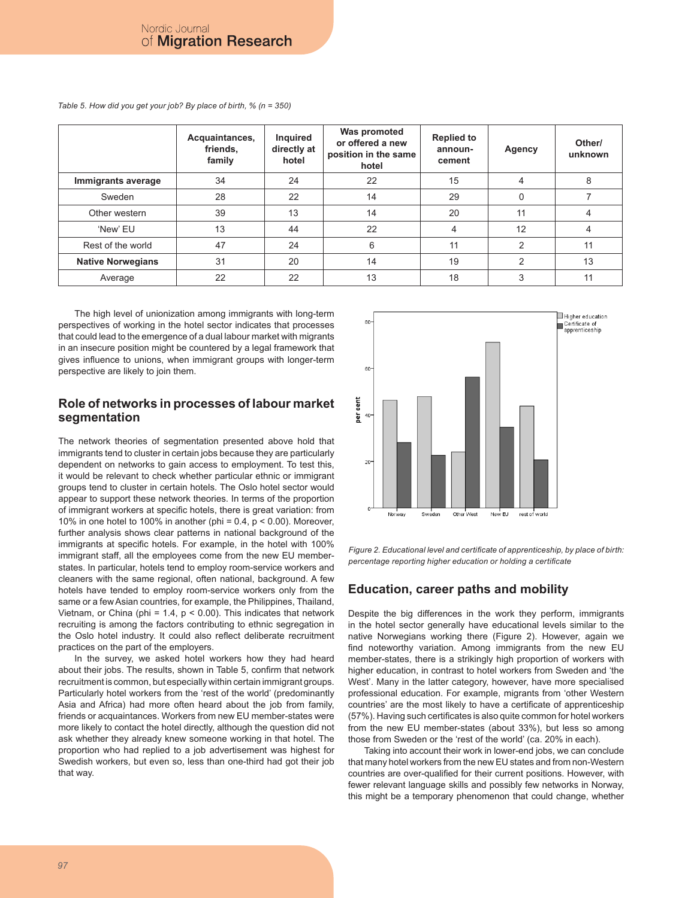|                          | Acquaintances,<br>friends,<br>family | Inquired<br>directly at<br>hotel | Was promoted<br>or offered a new<br>position in the same<br>hotel | <b>Replied to</b><br>announ-<br>cement | Agency        | Other/<br>unknown |
|--------------------------|--------------------------------------|----------------------------------|-------------------------------------------------------------------|----------------------------------------|---------------|-------------------|
| Immigrants average       | 34                                   | 24                               | 22                                                                | 15                                     | 4             | 8                 |
| Sweden                   | 28                                   | 22                               | 14                                                                | 29                                     | $\Omega$      |                   |
| Other western            | 39                                   | 13                               | 14                                                                | 20                                     | 11            | 4                 |
| 'New' EU                 | 13                                   | 44                               | 22                                                                | 4                                      | 12            | 4                 |
| Rest of the world        | 47                                   | 24                               | 6                                                                 | 11                                     | $\mathcal{P}$ | 11                |
| <b>Native Norwegians</b> | 31                                   | 20                               | 14                                                                | 19                                     | $\mathcal{P}$ | 13                |
| Average                  | 22                                   | 22                               | 13                                                                | 18                                     | 3             | 11                |

*Table 5. How did you get your job? By place of birth, % (n = 350)*

The high level of unionization among immigrants with long-term perspectives of working in the hotel sector indicates that processes that could lead to the emergence of a dual labour market with migrants in an insecure position might be countered by a legal framework that gives influence to unions, when immigrant groups with longer-term perspective are likely to join them.

# **Role of networks in processes of labour market segmentation**

The network theories of segmentation presented above hold that immigrants tend to cluster in certain jobs because they are particularly dependent on networks to gain access to employment. To test this, it would be relevant to check whether particular ethnic or immigrant groups tend to cluster in certain hotels. The Oslo hotel sector would appear to support these network theories. In terms of the proportion of immigrant workers at specific hotels, there is great variation: from 10% in one hotel to 100% in another (phi = 0.4,  $p < 0.00$ ). Moreover, further analysis shows clear patterns in national background of the immigrants at specific hotels. For example, in the hotel with 100% immigrant staff, all the employees come from the new EU memberstates. In particular, hotels tend to employ room-service workers and cleaners with the same regional, often national, background. A few hotels have tended to employ room-service workers only from the same or a few Asian countries, for example, the Philippines, Thailand, Vietnam, or China (phi =  $1.4$ ,  $p < 0.00$ ). This indicates that network recruiting is among the factors contributing to ethnic segregation in the Oslo hotel industry. It could also reflect deliberate recruitment practices on the part of the employers.

In the survey, we asked hotel workers how they had heard about their jobs. The results, shown in Table 5, confirm that network recruitment is common, but especially within certain immigrant groups. Particularly hotel workers from the 'rest of the world' (predominantly Asia and Africa) had more often heard about the job from family, friends or acquaintances. Workers from new EU member-states were more likely to contact the hotel directly, although the question did not ask whether they already knew someone working in that hotel. The proportion who had replied to a job advertisement was highest for Swedish workers, but even so, less than one-third had got their job that way.



*Figure 2. Educational level and certificate of apprenticeship, by place of birth: percentage reporting higher education or holding a certificate*

### **Education, career paths and mobility**

Despite the big differences in the work they perform, immigrants in the hotel sector generally have educational levels similar to the native Norwegians working there (Figure 2). However, again we find noteworthy variation. Among immigrants from the new EU member-states, there is a strikingly high proportion of workers with higher education, in contrast to hotel workers from Sweden and 'the West'. Many in the latter category, however, have more specialised professional education. For example, migrants from 'other Western countries' are the most likely to have a certificate of apprenticeship (57%). Having such certificates is also quite common for hotel workers from the new EU member-states (about 33%), but less so among those from Sweden or the 'rest of the world' (ca. 20% in each).

Taking into account their work in lower-end jobs, we can conclude that many hotel workers from the new EU states and from non-Western countries are over-qualified for their current positions. However, with fewer relevant language skills and possibly few networks in Norway, this might be a temporary phenomenon that could change, whether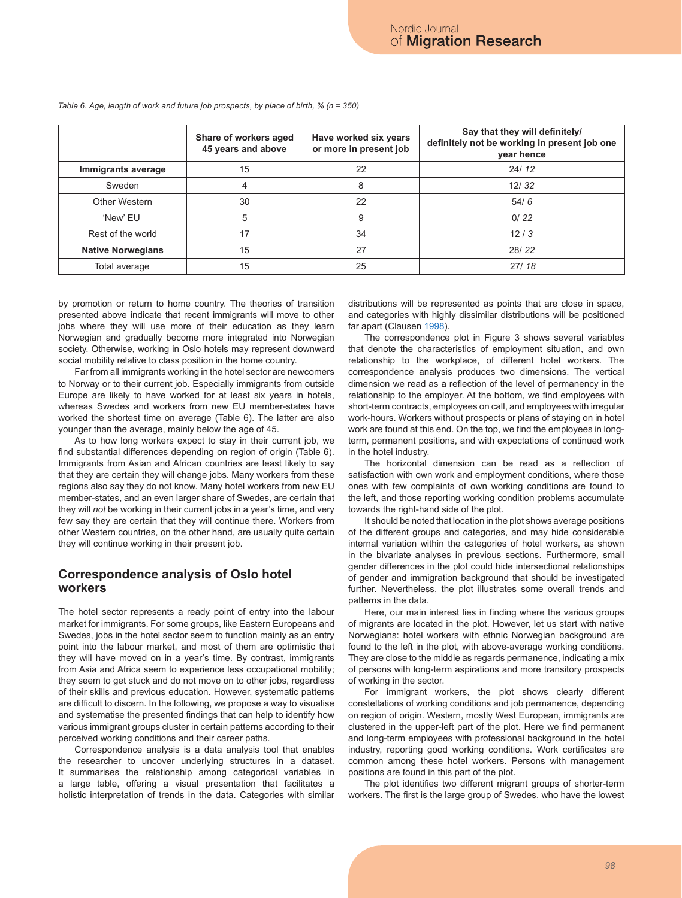|                          | Share of workers aged<br>45 years and above | Have worked six years<br>or more in present job | Say that they will definitely/<br>definitely not be working in present job one<br>year hence |
|--------------------------|---------------------------------------------|-------------------------------------------------|----------------------------------------------------------------------------------------------|
| Immigrants average       | 15                                          | 22                                              | 24/12                                                                                        |
| Sweden                   | 4                                           | 8                                               | 12/32                                                                                        |
| Other Western            | 30                                          | 22                                              | 54/6                                                                                         |
| 'New' EU                 | 5                                           | 9                                               | 0/22                                                                                         |
| Rest of the world        | 17                                          | 34                                              | 12/3                                                                                         |
| <b>Native Norwegians</b> | 15                                          | 27                                              | 28/22                                                                                        |
| Total average            | 15                                          | 25                                              | 27/18                                                                                        |

*Table 6. Age, length of work and future job prospects, by place of birth, % (n = 350)*

by promotion or return to home country. The theories of transition presented above indicate that recent immigrants will move to other jobs where they will use more of their education as they learn Norwegian and gradually become more integrated into Norwegian society. Otherwise, working in Oslo hotels may represent downward social mobility relative to class position in the home country.

Far from all immigrants working in the hotel sector are newcomers to Norway or to their current job. Especially immigrants from outside Europe are likely to have worked for at least six years in hotels, whereas Swedes and workers from new EU member-states have worked the shortest time on average (Table 6). The latter are also younger than the average, mainly below the age of 45.

As to how long workers expect to stay in their current job, we find substantial differences depending on region of origin (Table 6). Immigrants from Asian and African countries are least likely to say that they are certain they will change jobs. Many workers from these regions also say they do not know. Many hotel workers from new EU member-states, and an even larger share of Swedes, are certain that they will *not* be working in their current jobs in a year's time, and very few say they are certain that they will continue there. Workers from other Western countries, on the other hand, are usually quite certain they will continue working in their present job.

### **Correspondence analysis of Oslo hotel workers**

The hotel sector represents a ready point of entry into the labour market for immigrants. For some groups, like Eastern Europeans and Swedes, jobs in the hotel sector seem to function mainly as an entry point into the labour market, and most of them are optimistic that they will have moved on in a year's time. By contrast, immigrants from Asia and Africa seem to experience less occupational mobility; they seem to get stuck and do not move on to other jobs, regardless of their skills and previous education. However, systematic patterns are difficult to discern. In the following, we propose a way to visualise and systematise the presented findings that can help to identify how various immigrant groups cluster in certain patterns according to their perceived working conditions and their career paths.

Correspondence analysis is a data analysis tool that enables the researcher to uncover underlying structures in a dataset. It summarises the relationship among categorical variables in a large table, offering a visual presentation that facilitates a holistic interpretation of trends in the data. Categories with similar distributions will be represented as points that are close in space, and categories with highly dissimilar distributions will be positioned far apart (Clausen 1998).

The correspondence plot in Figure 3 shows several variables that denote the characteristics of employment situation, and own relationship to the workplace, of different hotel workers. The correspondence analysis produces two dimensions. The vertical dimension we read as a reflection of the level of permanency in the relationship to the employer. At the bottom, we find employees with short-term contracts, employees on call, and employees with irregular work-hours. Workers without prospects or plans of staying on in hotel work are found at this end. On the top, we find the employees in longterm, permanent positions, and with expectations of continued work in the hotel industry.

The horizontal dimension can be read as a reflection of satisfaction with own work and employment conditions, where those ones with few complaints of own working conditions are found to the left, and those reporting working condition problems accumulate towards the right-hand side of the plot.

It should be noted that location in the plot shows average positions of the different groups and categories, and may hide considerable internal variation within the categories of hotel workers, as shown in the bivariate analyses in previous sections. Furthermore, small gender differences in the plot could hide intersectional relationships of gender and immigration background that should be investigated further. Nevertheless, the plot illustrates some overall trends and patterns in the data.

Here, our main interest lies in finding where the various groups of migrants are located in the plot. However, let us start with native Norwegians: hotel workers with ethnic Norwegian background are found to the left in the plot, with above-average working conditions. They are close to the middle as regards permanence, indicating a mix of persons with long-term aspirations and more transitory prospects of working in the sector.

For immigrant workers, the plot shows clearly different constellations of working conditions and job permanence, depending on region of origin. Western, mostly West European, immigrants are clustered in the upper-left part of the plot. Here we find permanent and long-term employees with professional background in the hotel industry, reporting good working conditions. Work certificates are common among these hotel workers. Persons with management positions are found in this part of the plot.

The plot identifies two different migrant groups of shorter-term workers. The first is the large group of Swedes, who have the lowest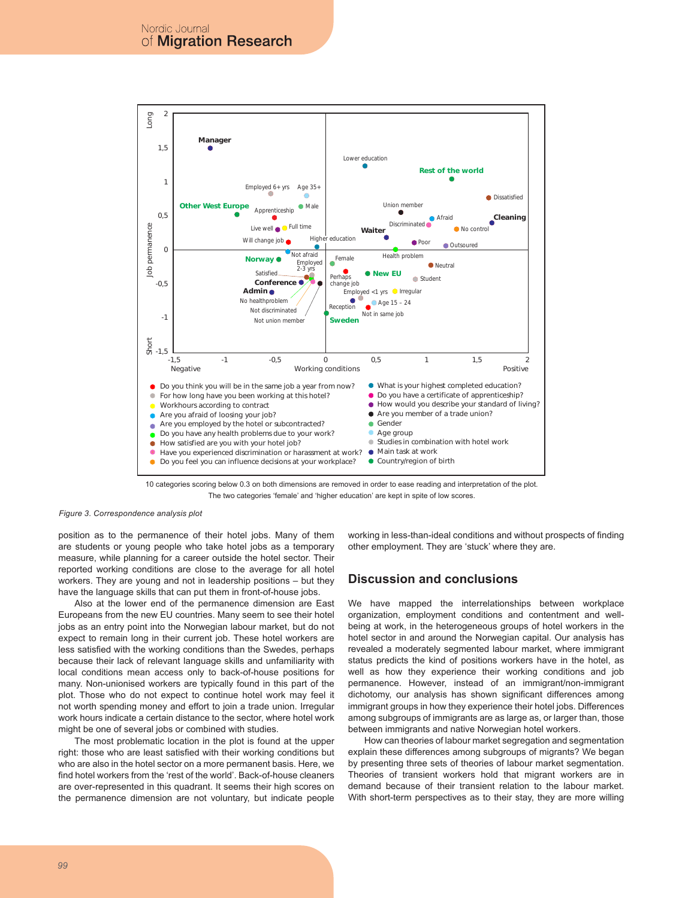

10 categories scoring below 0.3 on both dimensions are removed in order to ease reading and interpretation of the plot. The two categories 'female' and 'higher education' are kept in spite of low scores.

#### *Figure 3. Correspondence analysis plot*

position as to the permanence of their hotel jobs. Many of them are students or young people who take hotel jobs as a temporary measure, while planning for a career outside the hotel sector. Their reported working conditions are close to the average for all hotel workers. They are young and not in leadership positions – but they have the language skills that can put them in front-of-house jobs.

Also at the lower end of the permanence dimension are East Europeans from the new EU countries. Many seem to see their hotel jobs as an entry point into the Norwegian labour market, but do not expect to remain long in their current job. These hotel workers are less satisfied with the working conditions than the Swedes, perhaps because their lack of relevant language skills and unfamiliarity with local conditions mean access only to back-of-house positions for many. Non-unionised workers are typically found in this part of the plot. Those who do not expect to continue hotel work may feel it not worth spending money and effort to join a trade union. Irregular work hours indicate a certain distance to the sector, where hotel work might be one of several jobs or combined with studies.

The most problematic location in the plot is found at the upper right: those who are least satisfied with their working conditions but who are also in the hotel sector on a more permanent basis. Here, we find hotel workers from the 'rest of the world'. Back-of-house cleaners are over-represented in this quadrant. It seems their high scores on the permanence dimension are not voluntary, but indicate people

working in less-than-ideal conditions and without prospects of finding other employment. They are 'stuck' where they are.

#### **Discussion and conclusions**

We have mapped the interrelationships between workplace organization, employment conditions and contentment and wellbeing at work, in the heterogeneous groups of hotel workers in the hotel sector in and around the Norwegian capital. Our analysis has revealed a moderately segmented labour market, where immigrant status predicts the kind of positions workers have in the hotel, as well as how they experience their working conditions and job permanence. However, instead of an immigrant/non-immigrant dichotomy, our analysis has shown significant differences among immigrant groups in how they experience their hotel jobs. Differences among subgroups of immigrants are as large as, or larger than, those between immigrants and native Norwegian hotel workers.

How can theories of labour market segregation and segmentation explain these differences among subgroups of migrants? We began by presenting three sets of theories of labour market segmentation. Theories of transient workers hold that migrant workers are in demand because of their transient relation to the labour market. With short-term perspectives as to their stay, they are more willing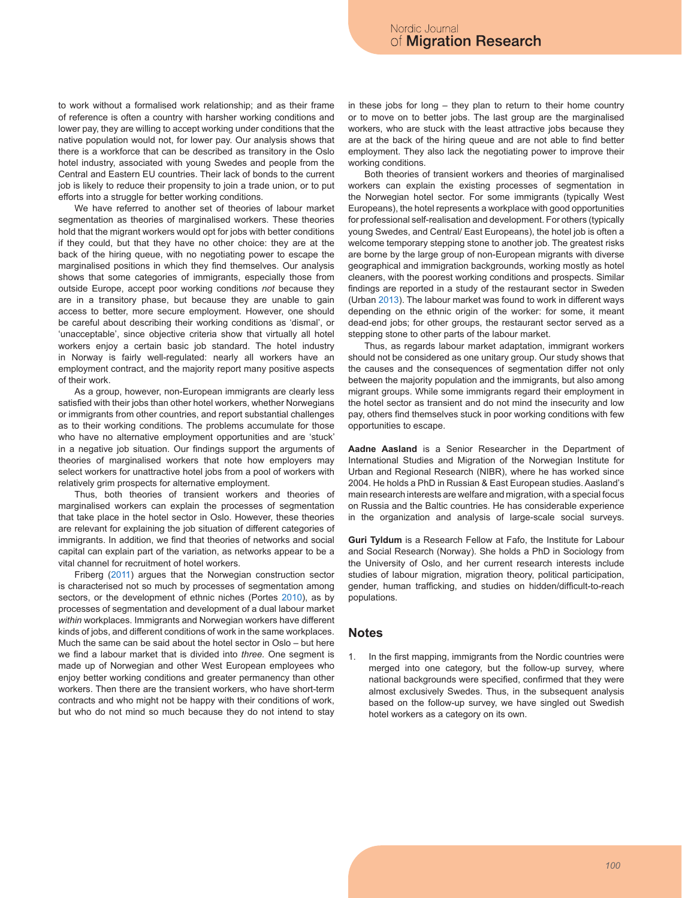to work without a formalised work relationship; and as their frame of reference is often a country with harsher working conditions and lower pay, they are willing to accept working under conditions that the native population would not, for lower pay. Our analysis shows that there is a workforce that can be described as transitory in the Oslo hotel industry, associated with young Swedes and people from the Central and Eastern EU countries. Their lack of bonds to the current job is likely to reduce their propensity to join a trade union, or to put efforts into a struggle for better working conditions.

We have referred to another set of theories of labour market segmentation as theories of marginalised workers. These theories hold that the migrant workers would opt for jobs with better conditions if they could, but that they have no other choice: they are at the back of the hiring queue, with no negotiating power to escape the marginalised positions in which they find themselves. Our analysis shows that some categories of immigrants, especially those from outside Europe, accept poor working conditions *not* because they are in a transitory phase, but because they are unable to gain access to better, more secure employment. However, one should be careful about describing their working conditions as 'dismal', or 'unacceptable', since objective criteria show that virtually all hotel workers enjoy a certain basic job standard. The hotel industry in Norway is fairly well-regulated: nearly all workers have an employment contract, and the majority report many positive aspects of their work.

As a group, however, non-European immigrants are clearly less satisfied with their jobs than other hotel workers, whether Norwegians or immigrants from other countries, and report substantial challenges as to their working conditions. The problems accumulate for those who have no alternative employment opportunities and are 'stuck' in a negative job situation. Our findings support the arguments of theories of marginalised workers that note how employers may select workers for unattractive hotel jobs from a pool of workers with relatively grim prospects for alternative employment.

Thus, both theories of transient workers and theories of marginalised workers can explain the processes of segmentation that take place in the hotel sector in Oslo. However, these theories are relevant for explaining the job situation of different categories of immigrants. In addition, we find that theories of networks and social capital can explain part of the variation, as networks appear to be a vital channel for recruitment of hotel workers.

Friberg (2011) argues that the Norwegian construction sector is characterised not so much by processes of segmentation among sectors, or the development of ethnic niches (Portes 2010), as by processes of segmentation and development of a dual labour market *within* workplaces. Immigrants and Norwegian workers have different kinds of jobs, and different conditions of work in the same workplaces. Much the same can be said about the hotel sector in Oslo – but here we find a labour market that is divided into *three.* One segment is made up of Norwegian and other West European employees who enjoy better working conditions and greater permanency than other workers. Then there are the transient workers, who have short-term contracts and who might not be happy with their conditions of work, but who do not mind so much because they do not intend to stay

in these jobs for long – they plan to return to their home country or to move on to better jobs. The last group are the marginalised workers, who are stuck with the least attractive jobs because they are at the back of the hiring queue and are not able to find better employment. They also lack the negotiating power to improve their working conditions.

Both theories of transient workers and theories of marginalised workers can explain the existing processes of segmentation in the Norwegian hotel sector. For some immigrants (typically West Europeans), the hotel represents a workplace with good opportunities for professional self-realisation and development. For others (typically young Swedes, and Central/ East Europeans), the hotel job is often a welcome temporary stepping stone to another job. The greatest risks are borne by the large group of non-European migrants with diverse geographical and immigration backgrounds, working mostly as hotel cleaners, with the poorest working conditions and prospects. Similar findings are reported in a study of the restaurant sector in Sweden (Urban 2013). The labour market was found to work in different ways depending on the ethnic origin of the worker: for some, it meant dead-end jobs; for other groups, the restaurant sector served as a stepping stone to other parts of the labour market.

Thus, as regards labour market adaptation, immigrant workers should not be considered as one unitary group. Our study shows that the causes and the consequences of segmentation differ not only between the majority population and the immigrants, but also among migrant groups. While some immigrants regard their employment in the hotel sector as transient and do not mind the insecurity and low pay, others find themselves stuck in poor working conditions with few opportunities to escape.

**Aadne Aasland** is a Senior Researcher in the Department of International Studies and Migration of the Norwegian Institute for Urban and Regional Research (NIBR), where he has worked since 2004. He holds a PhD in Russian & East European studies. Aasland's main research interests are welfare and migration, with a special focus on Russia and the Baltic countries. He has considerable experience in the organization and analysis of large-scale social surveys.

**Guri Tyldum** is a Research Fellow at Fafo, the Institute for Labour and Social Research (Norway). She holds a PhD in Sociology from the University of Oslo, and her current research interests include studies of labour migration, migration theory, political participation, gender, human trafficking, and studies on hidden/difficult-to-reach populations.

#### **Notes**

In the first mapping, immigrants from the Nordic countries were merged into one category, but the follow-up survey, where national backgrounds were specified, confirmed that they were almost exclusively Swedes. Thus, in the subsequent analysis based on the follow-up survey, we have singled out Swedish hotel workers as a category on its own.